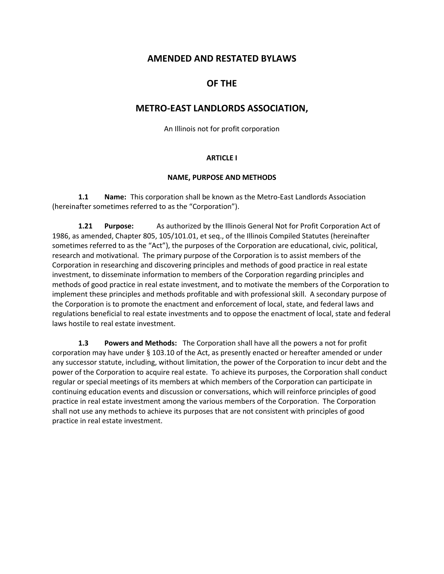# **AMENDED AND RESTATED BYLAWS**

# **OF THE**

# **METRO-EAST LANDLORDS ASSOCIATION,**

An Illinois not for profit corporation

## **ARTICLE I**

### **NAME, PURPOSE AND METHODS**

**1.1 Name:** This corporation shall be known as the Metro-East Landlords Association (hereinafter sometimes referred to as the "Corporation").

**1.21 Purpose:** As authorized by the Illinois General Not for Profit Corporation Act of 1986, as amended, Chapter 805, 105/101.01, et seq., of the Illinois Compiled Statutes (hereinafter sometimes referred to as the "Act"), the purposes of the Corporation are educational, civic, political, research and motivational. The primary purpose of the Corporation is to assist members of the Corporation in researching and discovering principles and methods of good practice in real estate investment, to disseminate information to members of the Corporation regarding principles and methods of good practice in real estate investment, and to motivate the members of the Corporation to implement these principles and methods profitable and with professional skill. A secondary purpose of the Corporation is to promote the enactment and enforcement of local, state, and federal laws and regulations beneficial to real estate investments and to oppose the enactment of local, state and federal laws hostile to real estate investment.

**1.3 Powers and Methods:** The Corporation shall have all the powers a not for profit corporation may have under § 103.10 of the Act, as presently enacted or hereafter amended or under any successor statute, including, without limitation, the power of the Corporation to incur debt and the power of the Corporation to acquire real estate. To achieve its purposes, the Corporation shall conduct regular or special meetings of its members at which members of the Corporation can participate in continuing education events and discussion or conversations, which will reinforce principles of good practice in real estate investment among the various members of the Corporation. The Corporation shall not use any methods to achieve its purposes that are not consistent with principles of good practice in real estate investment.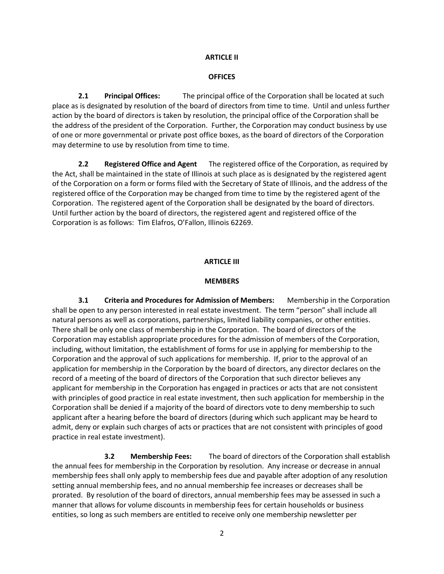## **ARTICLE II**

### **OFFICES**

**2.1 Principal Offices:** The principal office of the Corporation shall be located at such place as is designated by resolution of the board of directors from time to time. Until and unless further action by the board of directors is taken by resolution, the principal office of the Corporation shall be the address of the president of the Corporation. Further, the Corporation may conduct business by use of one or more governmental or private post office boxes, as the board of directors of the Corporation may determine to use by resolution from time to time.

**2.2 Registered Office and Agent** The registered office of the Corporation, as required by the Act, shall be maintained in the state of Illinois at such place as is designated by the registered agent of the Corporation on a form or forms filed with the Secretary of State of Illinois, and the address of the registered office of the Corporation may be changed from time to time by the registered agent of the Corporation. The registered agent of the Corporation shall be designated by the board of directors. Until further action by the board of directors, the registered agent and registered office of the Corporation is as follows: Tim Elafros, O'Fallon, Illinois 62269.

#### **ARTICLE III**

#### **MEMBERS**

**3.1 Criteria and Procedures for Admission of Members:** Membership in the Corporation shall be open to any person interested in real estate investment. The term "person" shall include all natural persons as well as corporations, partnerships, limited liability companies, or other entities. There shall be only one class of membership in the Corporation. The board of directors of the Corporation may establish appropriate procedures for the admission of members of the Corporation, including, without limitation, the establishment of forms for use in applying for membership to the Corporation and the approval of such applications for membership. If, prior to the approval of an application for membership in the Corporation by the board of directors, any director declares on the record of a meeting of the board of directors of the Corporation that such director believes any applicant for membership in the Corporation has engaged in practices or acts that are not consistent with principles of good practice in real estate investment, then such application for membership in the Corporation shall be denied if a majority of the board of directors vote to deny membership to such applicant after a hearing before the board of directors (during which such applicant may be heard to admit, deny or explain such charges of acts or practices that are not consistent with principles of good practice in real estate investment).

**3.2 Membership Fees:** The board of directors of the Corporation shall establish the annual fees for membership in the Corporation by resolution. Any increase or decrease in annual membership fees shall only apply to membership fees due and payable after adoption of any resolution setting annual membership fees, and no annual membership fee increases or decreases shall be prorated. By resolution of the board of directors, annual membership fees may be assessed in such a manner that allows for volume discounts in membership fees for certain households or business entities, so long as such members are entitled to receive only one membership newsletter per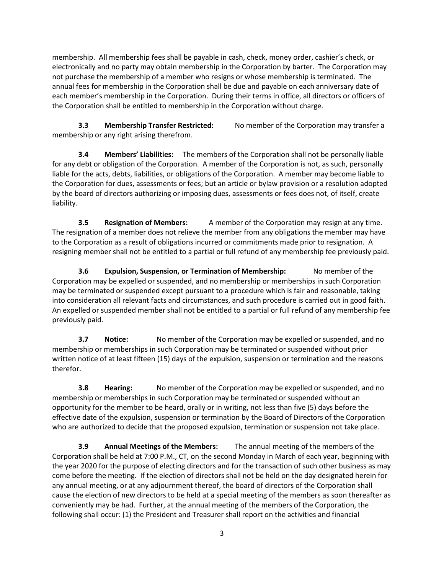membership. All membership fees shall be payable in cash, check, money order, cashier's check, or electronically and no party may obtain membership in the Corporation by barter. The Corporation may not purchase the membership of a member who resigns or whose membership is terminated. The annual fees for membership in the Corporation shall be due and payable on each anniversary date of each member's membership in the Corporation. During their terms in office, all directors or officers of the Corporation shall be entitled to membership in the Corporation without charge.

**3.3 Membership Transfer Restricted:** No member of the Corporation may transfer a membership or any right arising therefrom.

**3.4 Members' Liabilities:** The members of the Corporation shall not be personally liable for any debt or obligation of the Corporation. A member of the Corporation is not, as such, personally liable for the acts, debts, liabilities, or obligations of the Corporation. A member may become liable to the Corporation for dues, assessments or fees; but an article or bylaw provision or a resolution adopted by the board of directors authorizing or imposing dues, assessments or fees does not, of itself, create liability.

**3.5 Resignation of Members:** A member of the Corporation may resign at any time. The resignation of a member does not relieve the member from any obligations the member may have to the Corporation as a result of obligations incurred or commitments made prior to resignation. A resigning member shall not be entitled to a partial or full refund of any membership fee previously paid.

**3.6 Expulsion, Suspension, or Termination of Membership:** No member of the Corporation may be expelled or suspended, and no membership or memberships in such Corporation may be terminated or suspended except pursuant to a procedure which is fair and reasonable, taking into consideration all relevant facts and circumstances, and such procedure is carried out in good faith. An expelled or suspended member shall not be entitled to a partial or full refund of any membership fee previously paid.

**3.7 Notice:** No member of the Corporation may be expelled or suspended, and no membership or memberships in such Corporation may be terminated or suspended without prior written notice of at least fifteen (15) days of the expulsion, suspension or termination and the reasons therefor.

**3.8 Hearing:** No member of the Corporation may be expelled or suspended, and no membership or memberships in such Corporation may be terminated or suspended without an opportunity for the member to be heard, orally or in writing, not less than five (5) days before the effective date of the expulsion, suspension or termination by the Board of Directors of the Corporation who are authorized to decide that the proposed expulsion, termination or suspension not take place.

**3.9 Annual Meetings of the Members:** The annual meeting of the members of the Corporation shall be held at 7:00 P.M., CT, on the second Monday in March of each year, beginning with the year 2020 for the purpose of electing directors and for the transaction of such other business as may come before the meeting. If the election of directors shall not be held on the day designated herein for any annual meeting, or at any adjournment thereof, the board of directors of the Corporation shall cause the election of new directors to be held at a special meeting of the members as soon thereafter as conveniently may be had. Further, at the annual meeting of the members of the Corporation, the following shall occur: (1) the President and Treasurer shall report on the activities and financial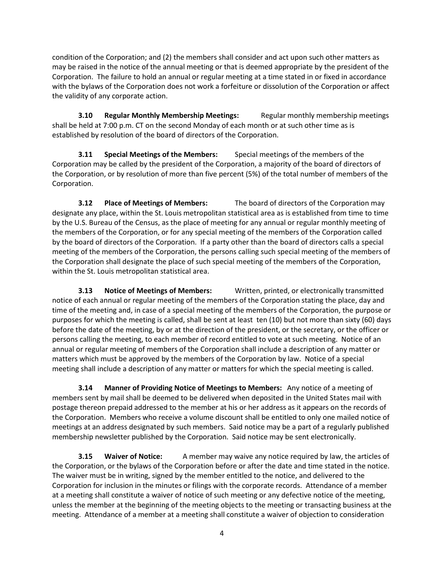condition of the Corporation; and (2) the members shall consider and act upon such other matters as may be raised in the notice of the annual meeting or that is deemed appropriate by the president of the Corporation. The failure to hold an annual or regular meeting at a time stated in or fixed in accordance with the bylaws of the Corporation does not work a forfeiture or dissolution of the Corporation or affect the validity of any corporate action.

**3.10 Regular Monthly Membership Meetings:** Regular monthly membership meetings shall be held at 7:00 p.m. CT on the second Monday of each month or at such other time as is established by resolution of the board of directors of the Corporation.

**3.11 Special Meetings of the Members:** Special meetings of the members of the Corporation may be called by the president of the Corporation, a majority of the board of directors of the Corporation, or by resolution of more than five percent (5%) of the total number of members of the Corporation.

**3.12 Place of Meetings of Members:** The board of directors of the Corporation may designate any place, within the St. Louis metropolitan statistical area as is established from time to time by the U.S. Bureau of the Census, as the place of meeting for any annual or regular monthly meeting of the members of the Corporation, or for any special meeting of the members of the Corporation called by the board of directors of the Corporation. If a party other than the board of directors calls a special meeting of the members of the Corporation, the persons calling such special meeting of the members of the Corporation shall designate the place of such special meeting of the members of the Corporation, within the St. Louis metropolitan statistical area.

**3.13 Notice of Meetings of Members:** Written, printed, or electronically transmitted notice of each annual or regular meeting of the members of the Corporation stating the place, day and time of the meeting and, in case of a special meeting of the members of the Corporation, the purpose or purposes for which the meeting is called, shall be sent at least ten (10) but not more than sixty (60) days before the date of the meeting, by or at the direction of the president, or the secretary, or the officer or persons calling the meeting, to each member of record entitled to vote at such meeting. Notice of an annual or regular meeting of members of the Corporation shall include a description of any matter or matters which must be approved by the members of the Corporation by law. Notice of a special meeting shall include a description of any matter or matters for which the special meeting is called.

**3.14 Manner of Providing Notice of Meetings to Members:** Any notice of a meeting of members sent by mail shall be deemed to be delivered when deposited in the United States mail with postage thereon prepaid addressed to the member at his or her address as it appears on the records of the Corporation. Members who receive a volume discount shall be entitled to only one mailed notice of meetings at an address designated by such members. Said notice may be a part of a regularly published membership newsletter published by the Corporation. Said notice may be sent electronically.

**3.15 Waiver of Notice:** A member may waive any notice required by law, the articles of the Corporation, or the bylaws of the Corporation before or after the date and time stated in the notice. The waiver must be in writing, signed by the member entitled to the notice, and delivered to the Corporation for inclusion in the minutes or filings with the corporate records. Attendance of a member at a meeting shall constitute a waiver of notice of such meeting or any defective notice of the meeting, unless the member at the beginning of the meeting objects to the meeting or transacting business at the meeting. Attendance of a member at a meeting shall constitute a waiver of objection to consideration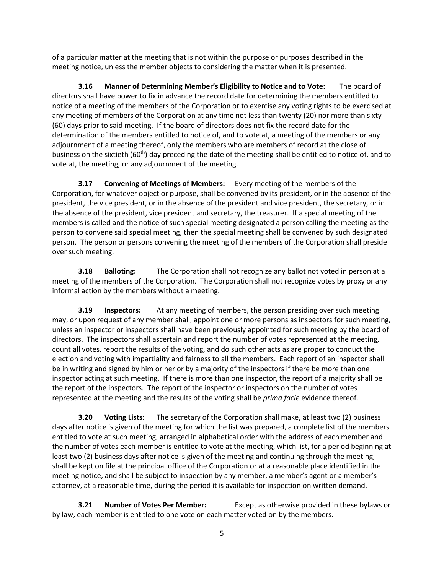of a particular matter at the meeting that is not within the purpose or purposes described in the meeting notice, unless the member objects to considering the matter when it is presented.

**3.16 Manner of Determining Member's Eligibility to Notice and to Vote:** The board of directors shall have power to fix in advance the record date for determining the members entitled to notice of a meeting of the members of the Corporation or to exercise any voting rights to be exercised at any meeting of members of the Corporation at any time not less than twenty (20) nor more than sixty (60) days prior to said meeting. If the board of directors does not fix the record date for the determination of the members entitled to notice of, and to vote at, a meeting of the members or any adjournment of a meeting thereof, only the members who are members of record at the close of business on the sixtieth (60<sup>th</sup>) day preceding the date of the meeting shall be entitled to notice of, and to vote at, the meeting, or any adjournment of the meeting.

**3.17 Convening of Meetings of Members:** Every meeting of the members of the Corporation, for whatever object or purpose, shall be convened by its president, or in the absence of the president, the vice president, or in the absence of the president and vice president, the secretary, or in the absence of the president, vice president and secretary, the treasurer. If a special meeting of the members is called and the notice of such special meeting designated a person calling the meeting as the person to convene said special meeting, then the special meeting shall be convened by such designated person. The person or persons convening the meeting of the members of the Corporation shall preside over such meeting.

**3.18 Balloting:** The Corporation shall not recognize any ballot not voted in person at a meeting of the members of the Corporation. The Corporation shall not recognize votes by proxy or any informal action by the members without a meeting.

**3.19 Inspectors:** At any meeting of members, the person presiding over such meeting may, or upon request of any member shall, appoint one or more persons as inspectors for such meeting, unless an inspector or inspectors shall have been previously appointed for such meeting by the board of directors. The inspectors shall ascertain and report the number of votes represented at the meeting, count all votes, report the results of the voting, and do such other acts as are proper to conduct the election and voting with impartiality and fairness to all the members. Each report of an inspector shall be in writing and signed by him or her or by a majority of the inspectors if there be more than one inspector acting at such meeting. If there is more than one inspector, the report of a majority shall be the report of the inspectors. The report of the inspector or inspectors on the number of votes represented at the meeting and the results of the voting shall be *prima facie* evidence thereof.

**3.20 Voting Lists:** The secretary of the Corporation shall make, at least two (2) business days after notice is given of the meeting for which the list was prepared, a complete list of the members entitled to vote at such meeting, arranged in alphabetical order with the address of each member and the number of votes each member is entitled to vote at the meeting, which list, for a period beginning at least two (2) business days after notice is given of the meeting and continuing through the meeting, shall be kept on file at the principal office of the Corporation or at a reasonable place identified in the meeting notice, and shall be subject to inspection by any member, a member's agent or a member's attorney, at a reasonable time, during the period it is available for inspection on written demand.

**3.21 Number of Votes Per Member:** Except as otherwise provided in these bylaws or by law, each member is entitled to one vote on each matter voted on by the members.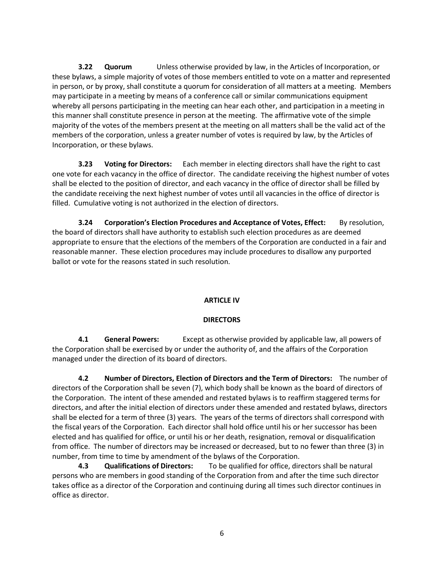**3.22 Quorum** Unless otherwise provided by law, in the Articles of Incorporation, or these bylaws, a simple majority of votes of those members entitled to vote on a matter and represented in person, or by proxy, shall constitute a quorum for consideration of all matters at a meeting. Members may participate in a meeting by means of a conference call or similar communications equipment whereby all persons participating in the meeting can hear each other, and participation in a meeting in this manner shall constitute presence in person at the meeting. The affirmative vote of the simple majority of the votes of the members present at the meeting on all matters shall be the valid act of the members of the corporation, unless a greater number of votes is required by law, by the Articles of Incorporation, or these bylaws.

**3.23 Voting for Directors:** Each member in electing directors shall have the right to cast one vote for each vacancy in the office of director. The candidate receiving the highest number of votes shall be elected to the position of director, and each vacancy in the office of director shall be filled by the candidate receiving the next highest number of votes until all vacancies in the office of director is filled. Cumulative voting is not authorized in the election of directors.

**3.24 Corporation's Election Procedures and Acceptance of Votes, Effect:** By resolution, the board of directors shall have authority to establish such election procedures as are deemed appropriate to ensure that the elections of the members of the Corporation are conducted in a fair and reasonable manner. These election procedures may include procedures to disallow any purported ballot or vote for the reasons stated in such resolution.

## **ARTICLE IV**

## **DIRECTORS**

**4.1 General Powers:** Except as otherwise provided by applicable law, all powers of the Corporation shall be exercised by or under the authority of, and the affairs of the Corporation managed under the direction of its board of directors.

**4.2 Number of Directors, Election of Directors and the Term of Directors:** The number of directors of the Corporation shall be seven (7), which body shall be known as the board of directors of the Corporation. The intent of these amended and restated bylaws is to reaffirm staggered terms for directors, and after the initial election of directors under these amended and restated bylaws, directors shall be elected for a term of three (3) years. The years of the terms of directors shall correspond with the fiscal years of the Corporation. Each director shall hold office until his or her successor has been elected and has qualified for office, or until his or her death, resignation, removal or disqualification from office. The number of directors may be increased or decreased, but to no fewer than three (3) in number, from time to time by amendment of the bylaws of the Corporation.

**4.3 Qualifications of Directors:** To be qualified for office, directors shall be natural persons who are members in good standing of the Corporation from and after the time such director takes office as a director of the Corporation and continuing during all times such director continues in office as director.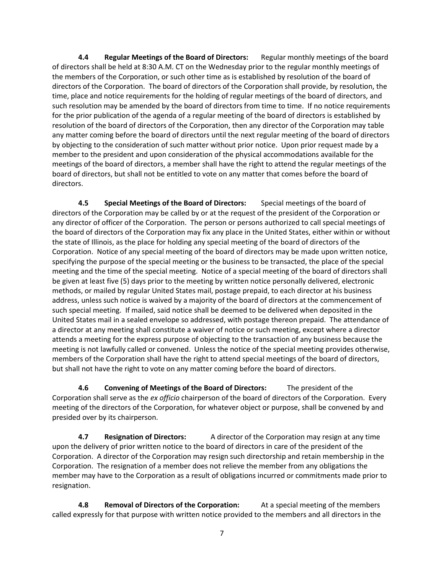**4.4 Regular Meetings of the Board of Directors:** Regular monthly meetings of the board of directors shall be held at 8:30 A.M. CT on the Wednesday prior to the regular monthly meetings of the members of the Corporation, or such other time as is established by resolution of the board of directors of the Corporation. The board of directors of the Corporation shall provide, by resolution, the time, place and notice requirements for the holding of regular meetings of the board of directors, and such resolution may be amended by the board of directors from time to time. If no notice requirements for the prior publication of the agenda of a regular meeting of the board of directors is established by resolution of the board of directors of the Corporation, then any director of the Corporation may table any matter coming before the board of directors until the next regular meeting of the board of directors by objecting to the consideration of such matter without prior notice. Upon prior request made by a member to the president and upon consideration of the physical accommodations available for the meetings of the board of directors, a member shall have the right to attend the regular meetings of the board of directors, but shall not be entitled to vote on any matter that comes before the board of directors.

**4.5 Special Meetings of the Board of Directors:** Special meetings of the board of directors of the Corporation may be called by or at the request of the president of the Corporation or any director of officer of the Corporation. The person or persons authorized to call special meetings of the board of directors of the Corporation may fix any place in the United States, either within or without the state of Illinois, as the place for holding any special meeting of the board of directors of the Corporation. Notice of any special meeting of the board of directors may be made upon written notice, specifying the purpose of the special meeting or the business to be transacted, the place of the special meeting and the time of the special meeting. Notice of a special meeting of the board of directors shall be given at least five (5) days prior to the meeting by written notice personally delivered, electronic methods, or mailed by regular United States mail, postage prepaid, to each director at his business address, unless such notice is waived by a majority of the board of directors at the commencement of such special meeting. If mailed, said notice shall be deemed to be delivered when deposited in the United States mail in a sealed envelope so addressed, with postage thereon prepaid. The attendance of a director at any meeting shall constitute a waiver of notice or such meeting, except where a director attends a meeting for the express purpose of objecting to the transaction of any business because the meeting is not lawfully called or convened. Unless the notice of the special meeting provides otherwise, members of the Corporation shall have the right to attend special meetings of the board of directors, but shall not have the right to vote on any matter coming before the board of directors.

**4.6 Convening of Meetings of the Board of Directors:** The president of the Corporation shall serve as the *ex officio* chairperson of the board of directors of the Corporation. Every meeting of the directors of the Corporation, for whatever object or purpose, shall be convened by and presided over by its chairperson.

**4.7 Resignation of Directors:** A director of the Corporation may resign at any time upon the delivery of prior written notice to the board of directors in care of the president of the Corporation. A director of the Corporation may resign such directorship and retain membership in the Corporation. The resignation of a member does not relieve the member from any obligations the member may have to the Corporation as a result of obligations incurred or commitments made prior to resignation.

**4.8 Removal of Directors of the Corporation:** At a special meeting of the members called expressly for that purpose with written notice provided to the members and all directors in the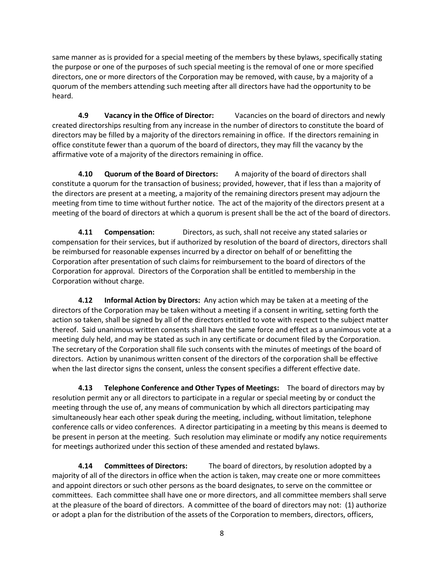same manner as is provided for a special meeting of the members by these bylaws, specifically stating the purpose or one of the purposes of such special meeting is the removal of one or more specified directors, one or more directors of the Corporation may be removed, with cause, by a majority of a quorum of the members attending such meeting after all directors have had the opportunity to be heard.

**4.9 Vacancy in the Office of Director:** Vacancies on the board of directors and newly created directorships resulting from any increase in the number of directors to constitute the board of directors may be filled by a majority of the directors remaining in office. If the directors remaining in office constitute fewer than a quorum of the board of directors, they may fill the vacancy by the affirmative vote of a majority of the directors remaining in office.

**4.10 Quorum of the Board of Directors:** A majority of the board of directors shall constitute a quorum for the transaction of business; provided, however, that if less than a majority of the directors are present at a meeting, a majority of the remaining directors present may adjourn the meeting from time to time without further notice. The act of the majority of the directors present at a meeting of the board of directors at which a quorum is present shall be the act of the board of directors.

**4.11 Compensation:** Directors, as such, shall not receive any stated salaries or compensation for their services, but if authorized by resolution of the board of directors, directors shall be reimbursed for reasonable expenses incurred by a director on behalf of or benefitting the Corporation after presentation of such claims for reimbursement to the board of directors of the Corporation for approval. Directors of the Corporation shall be entitled to membership in the Corporation without charge.

**4.12 Informal Action by Directors:** Any action which may be taken at a meeting of the directors of the Corporation may be taken without a meeting if a consent in writing, setting forth the action so taken, shall be signed by all of the directors entitled to vote with respect to the subject matter thereof. Said unanimous written consents shall have the same force and effect as a unanimous vote at a meeting duly held, and may be stated as such in any certificate or document filed by the Corporation. The secretary of the Corporation shall file such consents with the minutes of meetings of the board of directors. Action by unanimous written consent of the directors of the corporation shall be effective when the last director signs the consent, unless the consent specifies a different effective date.

**4.13 Telephone Conference and Other Types of Meetings:** The board of directors may by resolution permit any or all directors to participate in a regular or special meeting by or conduct the meeting through the use of, any means of communication by which all directors participating may simultaneously hear each other speak during the meeting, including, without limitation, telephone conference calls or video conferences. A director participating in a meeting by this means is deemed to be present in person at the meeting. Such resolution may eliminate or modify any notice requirements for meetings authorized under this section of these amended and restated bylaws.

**4.14 Committees of Directors:** The board of directors, by resolution adopted by a majority of all of the directors in office when the action is taken, may create one or more committees and appoint directors or such other persons as the board designates, to serve on the committee or committees. Each committee shall have one or more directors, and all committee members shall serve at the pleasure of the board of directors. A committee of the board of directors may not: (1) authorize or adopt a plan for the distribution of the assets of the Corporation to members, directors, officers,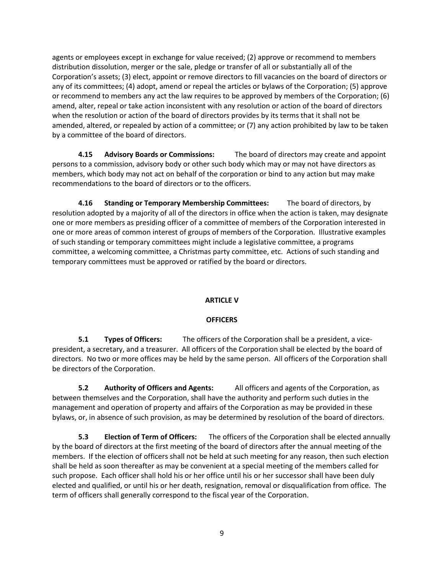agents or employees except in exchange for value received; (2) approve or recommend to members distribution dissolution, merger or the sale, pledge or transfer of all or substantially all of the Corporation's assets; (3) elect, appoint or remove directors to fill vacancies on the board of directors or any of its committees; (4) adopt, amend or repeal the articles or bylaws of the Corporation; (5) approve or recommend to members any act the law requires to be approved by members of the Corporation; (6) amend, alter, repeal or take action inconsistent with any resolution or action of the board of directors when the resolution or action of the board of directors provides by its terms that it shall not be amended, altered, or repealed by action of a committee; or (7) any action prohibited by law to be taken by a committee of the board of directors.

**4.15 Advisory Boards or Commissions:** The board of directors may create and appoint persons to a commission, advisory body or other such body which may or may not have directors as members, which body may not act on behalf of the corporation or bind to any action but may make recommendations to the board of directors or to the officers.

**4.16 Standing or Temporary Membership Committees:** The board of directors, by resolution adopted by a majority of all of the directors in office when the action is taken, may designate one or more members as presiding officer of a committee of members of the Corporation interested in one or more areas of common interest of groups of members of the Corporation. Illustrative examples of such standing or temporary committees might include a legislative committee, a programs committee, a welcoming committee, a Christmas party committee, etc. Actions of such standing and temporary committees must be approved or ratified by the board or directors.

## **ARTICLE V**

## **OFFICERS**

**5.1 Types of Officers:** The officers of the Corporation shall be a president, a vicepresident, a secretary, and a treasurer. All officers of the Corporation shall be elected by the board of directors. No two or more offices may be held by the same person. All officers of the Corporation shall be directors of the Corporation.

**5.2 Authority of Officers and Agents:** All officers and agents of the Corporation, as between themselves and the Corporation, shall have the authority and perform such duties in the management and operation of property and affairs of the Corporation as may be provided in these bylaws, or, in absence of such provision, as may be determined by resolution of the board of directors.

**5.3 Election of Term of Officers:** The officers of the Corporation shall be elected annually by the board of directors at the first meeting of the board of directors after the annual meeting of the members. If the election of officers shall not be held at such meeting for any reason, then such election shall be held as soon thereafter as may be convenient at a special meeting of the members called for such propose. Each officer shall hold his or her office until his or her successor shall have been duly elected and qualified, or until his or her death, resignation, removal or disqualification from office. The term of officers shall generally correspond to the fiscal year of the Corporation.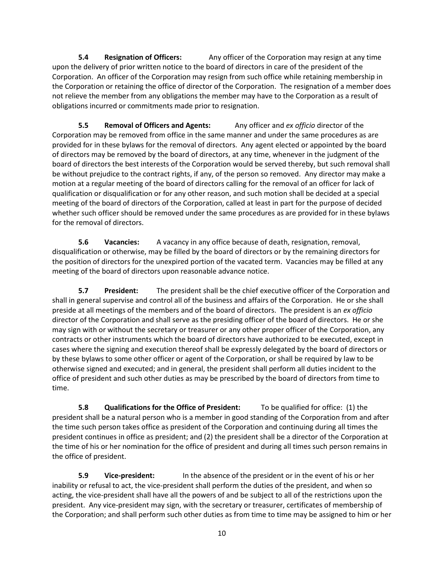**5.4 Resignation of Officers:** Any officer of the Corporation may resign at any time upon the delivery of prior written notice to the board of directors in care of the president of the Corporation. An officer of the Corporation may resign from such office while retaining membership in the Corporation or retaining the office of director of the Corporation. The resignation of a member does not relieve the member from any obligations the member may have to the Corporation as a result of obligations incurred or commitments made prior to resignation.

**5.5 Removal of Officers and Agents:** Any officer and *ex officio* director of the Corporation may be removed from office in the same manner and under the same procedures as are provided for in these bylaws for the removal of directors. Any agent elected or appointed by the board of directors may be removed by the board of directors, at any time, whenever in the judgment of the board of directors the best interests of the Corporation would be served thereby, but such removal shall be without prejudice to the contract rights, if any, of the person so removed. Any director may make a motion at a regular meeting of the board of directors calling for the removal of an officer for lack of qualification or disqualification or for any other reason, and such motion shall be decided at a special meeting of the board of directors of the Corporation, called at least in part for the purpose of decided whether such officer should be removed under the same procedures as are provided for in these bylaws for the removal of directors.

**5.6 Vacancies:** A vacancy in any office because of death, resignation, removal, disqualification or otherwise, may be filled by the board of directors or by the remaining directors for the position of directors for the unexpired portion of the vacated term. Vacancies may be filled at any meeting of the board of directors upon reasonable advance notice.

**5.7 President:** The president shall be the chief executive officer of the Corporation and shall in general supervise and control all of the business and affairs of the Corporation. He or she shall preside at all meetings of the members and of the board of directors. The president is an *ex officio* director of the Corporation and shall serve as the presiding officer of the board of directors. He or she may sign with or without the secretary or treasurer or any other proper officer of the Corporation, any contracts or other instruments which the board of directors have authorized to be executed, except in cases where the signing and execution thereof shall be expressly delegated by the board of directors or by these bylaws to some other officer or agent of the Corporation, or shall be required by law to be otherwise signed and executed; and in general, the president shall perform all duties incident to the office of president and such other duties as may be prescribed by the board of directors from time to time.

**5.8 Qualifications for the Office of President:** To be qualified for office: (1) the president shall be a natural person who is a member in good standing of the Corporation from and after the time such person takes office as president of the Corporation and continuing during all times the president continues in office as president; and (2) the president shall be a director of the Corporation at the time of his or her nomination for the office of president and during all times such person remains in the office of president.

**5.9 Vice-president:** In the absence of the president or in the event of his or her inability or refusal to act, the vice-president shall perform the duties of the president, and when so acting, the vice-president shall have all the powers of and be subject to all of the restrictions upon the president. Any vice-president may sign, with the secretary or treasurer, certificates of membership of the Corporation; and shall perform such other duties as from time to time may be assigned to him or her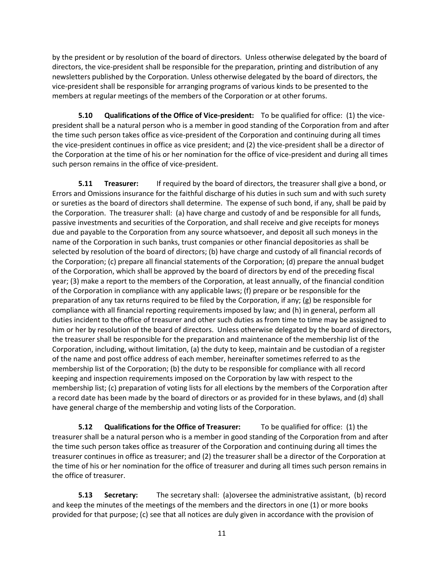by the president or by resolution of the board of directors. Unless otherwise delegated by the board of directors, the vice-president shall be responsible for the preparation, printing and distribution of any newsletters published by the Corporation. Unless otherwise delegated by the board of directors, the vice-president shall be responsible for arranging programs of various kinds to be presented to the members at regular meetings of the members of the Corporation or at other forums.

**5.10 Qualifications of the Office of Vice-president:** To be qualified for office: (1) the vicepresident shall be a natural person who is a member in good standing of the Corporation from and after the time such person takes office as vice-president of the Corporation and continuing during all times the vice-president continues in office as vice president; and (2) the vice-president shall be a director of the Corporation at the time of his or her nomination for the office of vice-president and during all times such person remains in the office of vice-president.

**5.11 Treasurer:** If required by the board of directors, the treasurer shall give a bond, or Errors and Omissions insurance for the faithful discharge of his duties in such sum and with such surety or sureties as the board of directors shall determine. The expense of such bond, if any, shall be paid by the Corporation. The treasurer shall: (a) have charge and custody of and be responsible for all funds, passive investments and securities of the Corporation, and shall receive and give receipts for moneys due and payable to the Corporation from any source whatsoever, and deposit all such moneys in the name of the Corporation in such banks, trust companies or other financial depositories as shall be selected by resolution of the board of directors; (b) have charge and custody of all financial records of the Corporation; (c) prepare all financial statements of the Corporation; (d) prepare the annual budget of the Corporation, which shall be approved by the board of directors by end of the preceding fiscal year; (3) make a report to the members of the Corporation, at least annually, of the financial condition of the Corporation in compliance with any applicable laws; (f) prepare or be responsible for the preparation of any tax returns required to be filed by the Corporation, if any; (g) be responsible for compliance with all financial reporting requirements imposed by law; and (h) in general, perform all duties incident to the office of treasurer and other such duties as from time to time may be assigned to him or her by resolution of the board of directors. Unless otherwise delegated by the board of directors, the treasurer shall be responsible for the preparation and maintenance of the membership list of the Corporation, including, without limitation, (a) the duty to keep, maintain and be custodian of a register of the name and post office address of each member, hereinafter sometimes referred to as the membership list of the Corporation; (b) the duty to be responsible for compliance with all record keeping and inspection requirements imposed on the Corporation by law with respect to the membership list; (c) preparation of voting lists for all elections by the members of the Corporation after a record date has been made by the board of directors or as provided for in these bylaws, and (d) shall have general charge of the membership and voting lists of the Corporation.

**5.12 Qualifications for the Office of Treasurer:** To be qualified for office: (1) the treasurer shall be a natural person who is a member in good standing of the Corporation from and after the time such person takes office as treasurer of the Corporation and continuing during all times the treasurer continues in office as treasurer; and (2) the treasurer shall be a director of the Corporation at the time of his or her nomination for the office of treasurer and during all times such person remains in the office of treasurer.

**5.13 Secretary:** The secretary shall: (a)oversee the administrative assistant, (b) record and keep the minutes of the meetings of the members and the directors in one (1) or more books provided for that purpose; (c) see that all notices are duly given in accordance with the provision of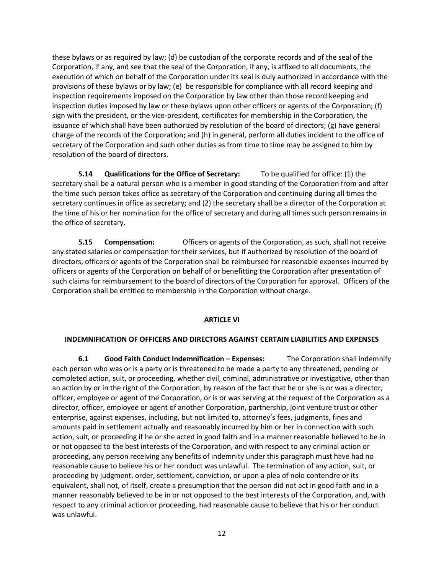these bylaws or as required by law; (d) be custodian of the corporate records and of the seal of the Corporation, if any, and see that the seal of the Corporation, if any, is affixed to all documents, the execution of which on behalf of the Corporation under its seal is duly authorized in accordance with the provisions of these bylaws or by law; (e) be responsible for compliance with all record keeping and inspection requirements imposed on the Corporation by law other than those record keeping and inspection duties imposed by law or these bylaws upon other officers or agents of the Corporation; (f) sign with the president, or the vice-president, certificates for membership in the Corporation, the issuance of which shall have been authorized by resolution of the board of directors; (g) have general charge of the records of the Corporation; and (h) in general, perform all duties incident to the office of secretary of the Corporation and such other duties as from time to time may be assigned to him by resolution of the board of directors.

**5.14 Qualifications for the Office of Secretary:** To be qualified for office: (1) the secretary shall be a natural person who is a member in good standing of the Corporation from and after the time such person takes office as secretary of the Corporation and continuing during all times the secretary continues in office as secretary; and (2) the secretary shall be a director of the Corporation at the time of his or her nomination for the office of secretary and during all times such person remains in the office of secretary.

**5.15 Compensation:** Officers or agents of the Corporation, as such, shall not receive any stated salaries or compensation for their services, but if authorized by resolution of the board of directors, officers or agents of the Corporation shall be reimbursed for reasonable expenses incurred by officers or agents of the Corporation on behalf of or benefitting the Corporation after presentation of such claims for reimbursement to the board of directors of the Corporation for approval. Officers of the Corporation shall be entitled to membership in the Corporation without charge.

### **ARTICLE VI**

### **INDEMNIFICATION OF OFFICERS AND DIRECTORS AGAINST CERTAIN LIABILITIES AND EXPENSES**

**6.1 Good Faith Conduct Indemnification – Expenses:** The Corporation shall indemnify each person who was or is a party or is threatened to be made a party to any threatened, pending or completed action, suit, or proceeding, whether civil, criminal, administrative or investigative, other than an action by or in the right of the Corporation, by reason of the fact that he or she is or was a director, officer, employee or agent of the Corporation, or is or was serving at the request of the Corporation as a director, officer, employee or agent of another Corporation, partnership, joint venture trust or other enterprise, against expenses, including, but not limited to, attorney's fees, judgments, fines and amounts paid in settlement actually and reasonably incurred by him or her in connection with such action, suit, or proceeding if he or she acted in good faith and in a manner reasonable believed to be in or not opposed to the best interests of the Corporation, and with respect to any criminal action or proceeding, any person receiving any benefits of indemnity under this paragraph must have had no reasonable cause to believe his or her conduct was unlawful. The termination of any action, suit, or proceeding by judgment, order, settlement, conviction, or upon a plea of nolo contendre or its equivalent, shall not, of itself, create a presumption that the person did not act in good faith and in a manner reasonably believed to be in or not opposed to the best interests of the Corporation, and, with respect to any criminal action or proceeding, had reasonable cause to believe that his or her conduct was unlawful.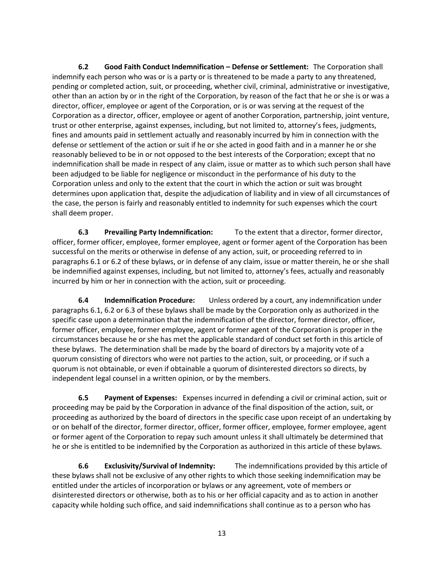**6.2 Good Faith Conduct Indemnification – Defense or Settlement:** The Corporation shall indemnify each person who was or is a party or is threatened to be made a party to any threatened, pending or completed action, suit, or proceeding, whether civil, criminal, administrative or investigative, other than an action by or in the right of the Corporation, by reason of the fact that he or she is or was a director, officer, employee or agent of the Corporation, or is or was serving at the request of the Corporation as a director, officer, employee or agent of another Corporation, partnership, joint venture, trust or other enterprise, against expenses, including, but not limited to, attorney's fees, judgments, fines and amounts paid in settlement actually and reasonably incurred by him in connection with the defense or settlement of the action or suit if he or she acted in good faith and in a manner he or she reasonably believed to be in or not opposed to the best interests of the Corporation; except that no indemnification shall be made in respect of any claim, issue or matter as to which such person shall have been adjudged to be liable for negligence or misconduct in the performance of his duty to the Corporation unless and only to the extent that the court in which the action or suit was brought determines upon application that, despite the adjudication of liability and in view of all circumstances of the case, the person is fairly and reasonably entitled to indemnity for such expenses which the court shall deem proper.

**6.3 Prevailing Party Indemnification:** To the extent that a director, former director, officer, former officer, employee, former employee, agent or former agent of the Corporation has been successful on the merits or otherwise in defense of any action, suit, or proceeding referred to in paragraphs 6.1 or 6.2 of these bylaws, or in defense of any claim, issue or matter therein, he or she shall be indemnified against expenses, including, but not limited to, attorney's fees, actually and reasonably incurred by him or her in connection with the action, suit or proceeding.

**6.4 Indemnification Procedure:** Unless ordered by a court, any indemnification under paragraphs 6.1, 6.2 or 6.3 of these bylaws shall be made by the Corporation only as authorized in the specific case upon a determination that the indemnification of the director, former director, officer, former officer, employee, former employee, agent or former agent of the Corporation is proper in the circumstances because he or she has met the applicable standard of conduct set forth in this article of these bylaws. The determination shall be made by the board of directors by a majority vote of a quorum consisting of directors who were not parties to the action, suit, or proceeding, or if such a quorum is not obtainable, or even if obtainable a quorum of disinterested directors so directs, by independent legal counsel in a written opinion, or by the members.

**6.5 Payment of Expenses:** Expenses incurred in defending a civil or criminal action, suit or proceeding may be paid by the Corporation in advance of the final disposition of the action, suit, or proceeding as authorized by the board of directors in the specific case upon receipt of an undertaking by or on behalf of the director, former director, officer, former officer, employee, former employee, agent or former agent of the Corporation to repay such amount unless it shall ultimately be determined that he or she is entitled to be indemnified by the Corporation as authorized in this article of these bylaws.

**6.6 Exclusivity/Survival of Indemnity:** The indemnifications provided by this article of these bylaws shall not be exclusive of any other rights to which those seeking indemnification may be entitled under the articles of incorporation or bylaws or any agreement, vote of members or disinterested directors or otherwise, both as to his or her official capacity and as to action in another capacity while holding such office, and said indemnifications shall continue as to a person who has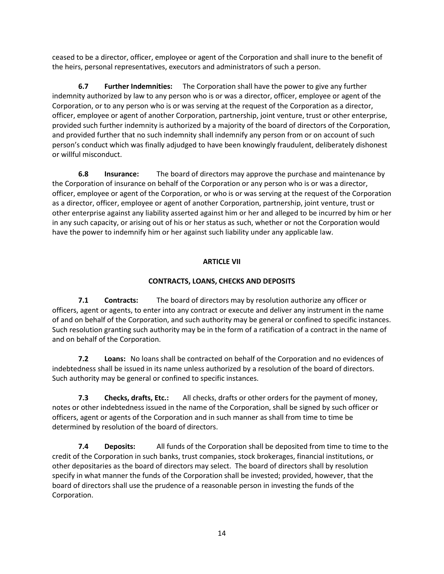ceased to be a director, officer, employee or agent of the Corporation and shall inure to the benefit of the heirs, personal representatives, executors and administrators of such a person.

**6.7 Further Indemnities:** The Corporation shall have the power to give any further indemnity authorized by law to any person who is or was a director, officer, employee or agent of the Corporation, or to any person who is or was serving at the request of the Corporation as a director, officer, employee or agent of another Corporation, partnership, joint venture, trust or other enterprise, provided such further indemnity is authorized by a majority of the board of directors of the Corporation, and provided further that no such indemnity shall indemnify any person from or on account of such person's conduct which was finally adjudged to have been knowingly fraudulent, deliberately dishonest or willful misconduct.

**6.8 Insurance:** The board of directors may approve the purchase and maintenance by the Corporation of insurance on behalf of the Corporation or any person who is or was a director, officer, employee or agent of the Corporation, or who is or was serving at the request of the Corporation as a director, officer, employee or agent of another Corporation, partnership, joint venture, trust or other enterprise against any liability asserted against him or her and alleged to be incurred by him or her in any such capacity, or arising out of his or her status as such, whether or not the Corporation would have the power to indemnify him or her against such liability under any applicable law.

## **ARTICLE VII**

## **CONTRACTS, LOANS, CHECKS AND DEPOSITS**

**7.1 Contracts:** The board of directors may by resolution authorize any officer or officers, agent or agents, to enter into any contract or execute and deliver any instrument in the name of and on behalf of the Corporation, and such authority may be general or confined to specific instances. Such resolution granting such authority may be in the form of a ratification of a contract in the name of and on behalf of the Corporation.

**7.2 Loans:** No loans shall be contracted on behalf of the Corporation and no evidences of indebtedness shall be issued in its name unless authorized by a resolution of the board of directors. Such authority may be general or confined to specific instances.

**7.3 Checks, drafts, Etc.:** All checks, drafts or other orders for the payment of money, notes or other indebtedness issued in the name of the Corporation, shall be signed by such officer or officers, agent or agents of the Corporation and in such manner as shall from time to time be determined by resolution of the board of directors.

**7.4 Deposits:** All funds of the Corporation shall be deposited from time to time to the credit of the Corporation in such banks, trust companies, stock brokerages, financial institutions, or other depositaries as the board of directors may select. The board of directors shall by resolution specify in what manner the funds of the Corporation shall be invested; provided, however, that the board of directors shall use the prudence of a reasonable person in investing the funds of the Corporation.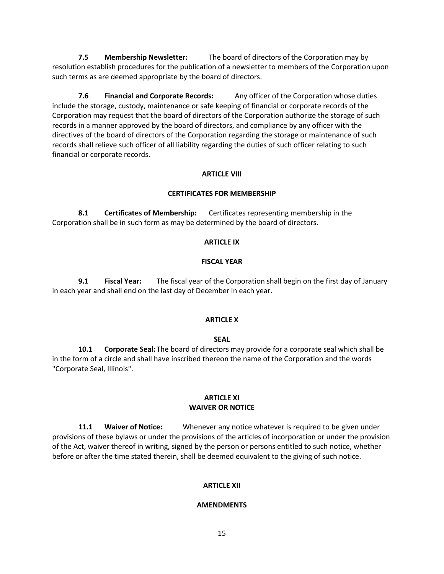**7.5 Membership Newsletter:** The board of directors of the Corporation may by resolution establish procedures for the publication of a newsletter to members of the Corporation upon such terms as are deemed appropriate by the board of directors.

**7.6 Financial and Corporate Records:** Any officer of the Corporation whose duties include the storage, custody, maintenance or safe keeping of financial or corporate records of the Corporation may request that the board of directors of the Corporation authorize the storage of such records in a manner approved by the board of directors, and compliance by any officer with the directives of the board of directors of the Corporation regarding the storage or maintenance of such records shall relieve such officer of all liability regarding the duties of such officer relating to such financial or corporate records.

## **ARTICLE VIII**

### **CERTIFICATES FOR MEMBERSHIP**

**8.1 Certificates of Membership:** Certificates representing membership in the Corporation shall be in such form as may be determined by the board of directors.

#### **ARTICLE IX**

#### **FISCAL YEAR**

**9.1 Fiscal Year:** The fiscal year of the Corporation shall begin on the first day of January in each year and shall end on the last day of December in each year.

### **ARTICLE X**

#### **SEAL**

**10.1 Corporate Seal:**The board of directors may provide for a corporate seal which shall be in the form of a circle and shall have inscribed thereon the name of the Corporation and the words "Corporate Seal, Illinois".

### **ARTICLE XI WAIVER OR NOTICE**

**11.1 Waiver of Notice:** Whenever any notice whatever is required to be given under provisions of these bylaws or under the provisions of the articles of incorporation or under the provision of the Act, waiver thereof in writing, signed by the person or persons entitled to such notice, whether before or after the time stated therein, shall be deemed equivalent to the giving of such notice.

### **ARTICLE XII**

#### **AMENDMENTS**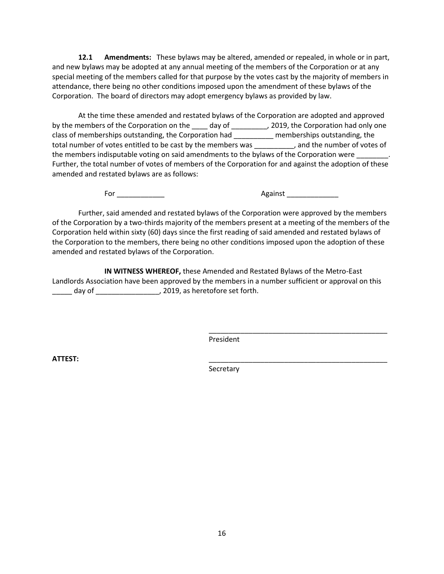**12.1 Amendments:** These bylaws may be altered, amended or repealed, in whole or in part, and new bylaws may be adopted at any annual meeting of the members of the Corporation or at any special meeting of the members called for that purpose by the votes cast by the majority of members in attendance, there being no other conditions imposed upon the amendment of these bylaws of the Corporation. The board of directors may adopt emergency bylaws as provided by law.

At the time these amended and restated bylaws of the Corporation are adopted and approved by the members of the Corporation on the \_\_\_\_ day of \_\_\_\_\_\_\_\_\_, 2019, the Corporation had only one class of memberships outstanding, the Corporation had \_\_\_\_\_\_\_\_\_\_ memberships outstanding, the total number of votes entitled to be cast by the members was entitled to be cast by the members was the number of votes of the members indisputable voting on said amendments to the bylaws of the Corporation were Further, the total number of votes of members of the Corporation for and against the adoption of these amended and restated bylaws are as follows:

For \_\_\_\_\_\_\_\_\_\_\_\_ Against \_\_\_\_\_\_\_\_\_\_\_\_\_

\_\_\_\_\_\_\_\_\_\_\_\_\_\_\_\_\_\_\_\_\_\_\_\_\_\_\_\_\_\_\_\_\_\_\_\_\_\_\_\_\_\_\_\_\_

Further, said amended and restated bylaws of the Corporation were approved by the members of the Corporation by a two-thirds majority of the members present at a meeting of the members of the Corporation held within sixty (60) days since the first reading of said amended and restated bylaws of the Corporation to the members, there being no other conditions imposed upon the adoption of these amended and restated bylaws of the Corporation.

**IN WITNESS WHEREOF,** these Amended and Restated Bylaws of the Metro-East Landlords Association have been approved by the members in a number sufficient or approval on this \_\_\_\_\_ day of \_\_\_\_\_\_\_\_\_\_\_\_\_\_\_\_, 2019, as heretofore set forth.

President

**ATTEST:** \_\_\_\_\_\_\_\_\_\_\_\_\_\_\_\_\_\_\_\_\_\_\_\_\_\_\_\_\_\_\_\_\_\_\_\_\_\_\_\_\_\_\_\_\_

Secretary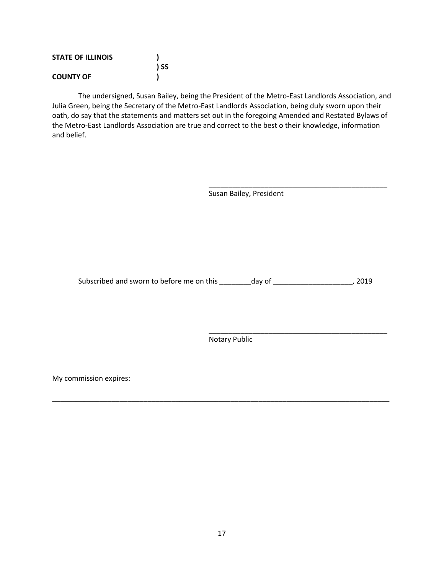| <b>STATE OF ILLINOIS</b> |      |
|--------------------------|------|
|                          | ) SS |
| <b>COUNTY OF</b>         |      |

The undersigned, Susan Bailey, being the President of the Metro-East Landlords Association, and Julia Green, being the Secretary of the Metro-East Landlords Association, being duly sworn upon their oath, do say that the statements and matters set out in the foregoing Amended and Restated Bylaws of the Metro-East Landlords Association are true and correct to the best o their knowledge, information and belief.

Susan Bailey, President

\_\_\_\_\_\_\_\_\_\_\_\_\_\_\_\_\_\_\_\_\_\_\_\_\_\_\_\_\_\_\_\_\_\_\_\_\_\_\_\_\_\_\_\_\_

\_\_\_\_\_\_\_\_\_\_\_\_\_\_\_\_\_\_\_\_\_\_\_\_\_\_\_\_\_\_\_\_\_\_\_\_\_\_\_\_\_\_\_\_\_

Subscribed and sworn to before me on this \_\_\_\_\_\_\_\_day of \_\_\_\_\_\_\_\_\_\_\_\_\_\_\_\_\_\_\_\_\_\_, 2019

Notary Public

\_\_\_\_\_\_\_\_\_\_\_\_\_\_\_\_\_\_\_\_\_\_\_\_\_\_\_\_\_\_\_\_\_\_\_\_\_\_\_\_\_\_\_\_\_\_\_\_\_\_\_\_\_\_\_\_\_\_\_\_\_\_\_\_\_\_\_\_\_\_\_\_\_\_\_\_\_\_\_\_\_\_\_\_\_

My commission expires: